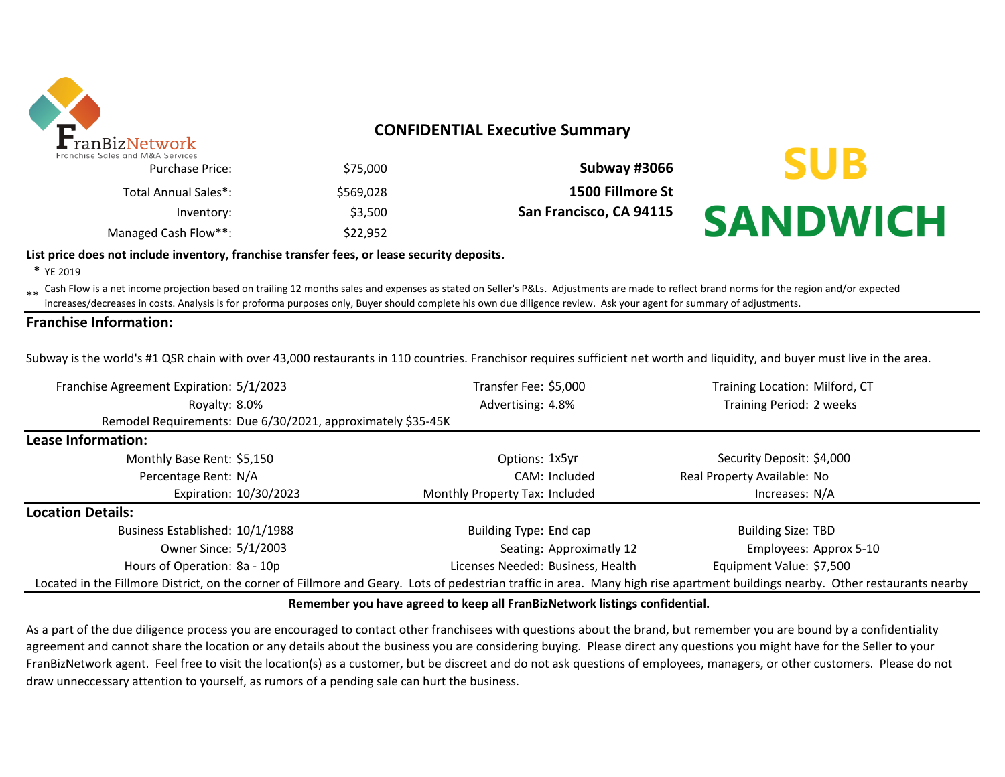

### **CONFIDENTIAL Executive Summary**

| Subway #3066            | \$75,000  | Purchase Price:      |
|-------------------------|-----------|----------------------|
| 1500 Fillmore St        | \$569.028 | Total Annual Sales*: |
| San Francisco, CA 94115 | \$3.500   | Inventory:           |
|                         | \$22.952  | Managed Cash Flow**: |

# **SUB SANDWICH**

#### **List price does not include inventory, franchise transfer fees, or lease security deposits.**

\* YE 2019

\*\* Cash Flow is a net income projection based on trailing 12 months sales and expenses as stated on Seller's P&Ls. Adjustments are made to reflect brand norms for the region and/or expected in costs. Analysis is for profor increases/decreases in costs. Analysis is for proforma purposes only, Buyer should complete his own due diligence review. Ask your agent for summary of adjustments.

#### **Franchise Information:**

Subway is the world's #1 QSR chain with over 43,000 restaurants in 110 countries. Franchisor requires sufficient net worth and liquidity, and buyer must live in the area.

| Franchise Agreement Expiration: 5/1/2023                                                                                                                                       | Transfer Fee: \$5,000             |                          | Training Location: Milford, CT |
|--------------------------------------------------------------------------------------------------------------------------------------------------------------------------------|-----------------------------------|--------------------------|--------------------------------|
| Royalty: 8.0%                                                                                                                                                                  | Advertising: 4.8%                 |                          | Training Period: 2 weeks       |
| Remodel Requirements: Due 6/30/2021, approximately \$35-45K                                                                                                                    |                                   |                          |                                |
| Lease Information:                                                                                                                                                             |                                   |                          |                                |
| Monthly Base Rent: \$5,150                                                                                                                                                     | Options: 1x5yr                    |                          | Security Deposit: \$4,000      |
| Percentage Rent: N/A                                                                                                                                                           |                                   | CAM: Included            | Real Property Available: No    |
| Expiration: 10/30/2023                                                                                                                                                         | Monthly Property Tax: Included    |                          | Increases: N/A                 |
| <b>Location Details:</b>                                                                                                                                                       |                                   |                          |                                |
| Business Established: 10/1/1988                                                                                                                                                | Building Type: End cap            |                          | <b>Building Size: TBD</b>      |
| Owner Since: 5/1/2003                                                                                                                                                          |                                   | Seating: Approximatly 12 | Employees: Approx 5-10         |
| Hours of Operation: 8a - 10p                                                                                                                                                   | Licenses Needed: Business, Health |                          | Equipment Value: \$7,500       |
| Located in the Fillmore District, on the corner of Fillmore and Geary. Lots of pedestrian traffic in area. Many high rise apartment buildings nearby. Other restaurants nearby |                                   |                          |                                |

#### **Remember you have agreed to keep all FranBizNetwork listings confidential.**

As a part of the due diligence process you are encouraged to contact other franchisees with questions about the brand, but remember you are bound by a confidentiality agreement and cannot share the location or any details about the business you are considering buying. Please direct any questions you might have for the Seller to your FranBizNetwork agent. Feel free to visit the location(s) as a customer, but be discreet and do not ask questions of employees, managers, or other customers. Please do not draw unneccessary attention to yourself, as rumors of a pending sale can hurt the business.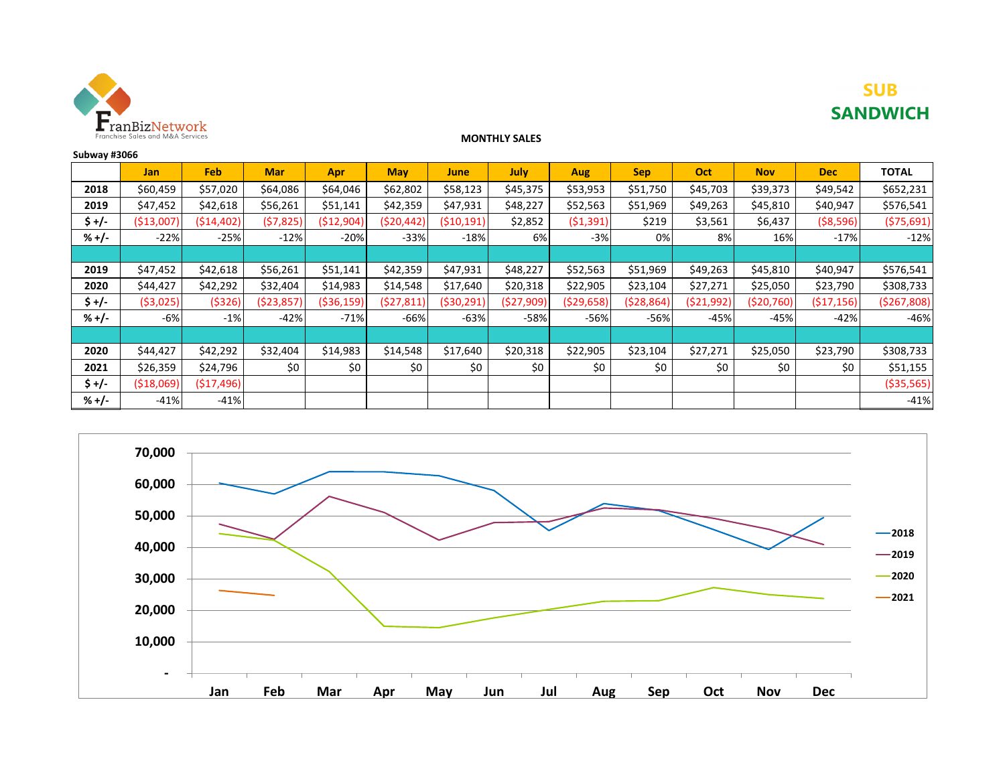

## **SUB SANDWICH**

#### **MONTHLY SALES**

| Subway #3066 |            |            |            |             |            |              |            |            |            |            |              |            |              |
|--------------|------------|------------|------------|-------------|------------|--------------|------------|------------|------------|------------|--------------|------------|--------------|
|              | Jan        | Feb        | <b>Mar</b> | Apr         | <b>May</b> | June         | July       | Aug        | <b>Sep</b> | Oct        | <b>Nov</b>   | <b>Dec</b> | <b>TOTAL</b> |
| 2018         | \$60,459   | \$57,020   | \$64,086   | \$64,046    | \$62,802   | \$58,123     | \$45,375   | \$53,953   | \$51,750   | \$45,703   | \$39,373     | \$49,542   | \$652,231    |
| 2019         | \$47,452   | \$42,618   | \$56,261   | \$51,141    | \$42,359   | \$47,931     | \$48,227   | \$52,563   | \$51,969   | \$49,263   | \$45,810     | \$40,947   | \$576,541    |
| \$ +/-       | ( \$13,007 | (514, 402) | (57, 825)  | ( \$12,904) | (\$20,442) | (510, 191)   | \$2,852    | ( \$1,391) | \$219      | \$3,561    | \$6,437      | ( \$8,596) | (575, 691)   |
| $% +/-$      | $-22%$     | $-25%$     | $-12%$     | $-20%$      | $-33%$     | $-18%$       | 6%         | $-3%$      | 0%         | 8%         | 16%          | $-17%$     | $-12%$       |
|              |            |            |            |             |            |              |            |            |            |            |              |            |              |
| 2019         | \$47,452   | \$42,618   | \$56,261   | \$51,141    | \$42,359   | \$47,931     | \$48,227   | \$52,563   | \$51,969   | \$49,263   | \$45,810     | \$40,947   | \$576,541    |
| 2020         | \$44,427   | \$42,292   | \$32,404   | \$14,983    | \$14,548   | \$17,640     | \$20,318   | \$22,905   | \$23,104   | \$27,271   | \$25,050     | \$23,790   | \$308,733    |
| \$ +/-       | ( \$3,025) | (\$326)    | (\$23,857  | (\$36,159)  | (527, 811) | ( \$30, 291) | (\$27,909) | (529, 658) | (528, 864) | (\$21,992) | ( \$20, 760) | (517, 156) | (5267,808)   |
| $% +/-$      | $-6%$      | $-1%$      | $-42%$     | $-71%$      | -66%       | $-63%$       | $-58%$     | $-56%$     | $-56%$     | $-45%$     | $-45%$       | $-42%$     | $-46%$       |
|              |            |            |            |             |            |              |            |            |            |            |              |            |              |
| 2020         | \$44,427   | \$42,292   | \$32,404   | \$14,983    | \$14,548   | \$17,640     | \$20,318   | \$22,905   | \$23,104   | \$27,271   | \$25,050     | \$23,790   | \$308,733    |
| 2021         | \$26,359   | \$24,796   | \$0        | \$0         | \$0        | \$0          | \$0        | \$0        | \$0        | \$0        | \$0          | \$0        | \$51,155     |
| $$+/-$       | (518,069)  | (517, 496) |            |             |            |              |            |            |            |            |              |            | ( \$35,565)  |
| $% +/-$      | $-41%$     | $-41%$     |            |             |            |              |            |            |            |            |              |            | $-41%$       |